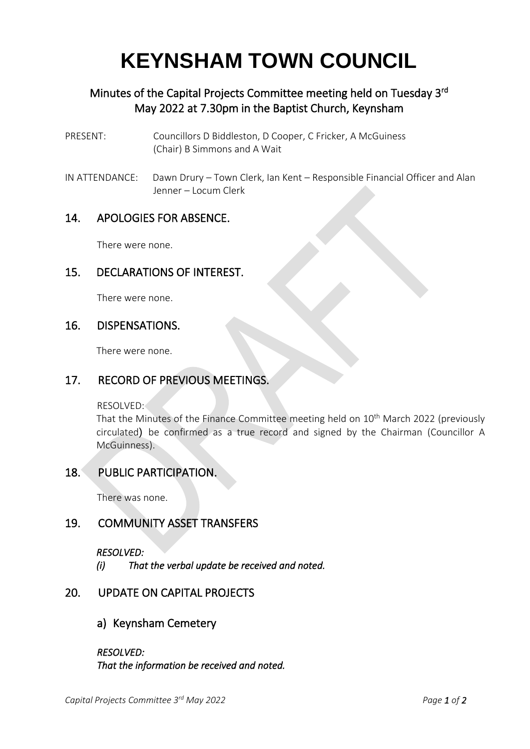# **KEYNSHAM TOWN COUNCIL**

# Minutes of the Capital Projects Committee meeting held on Tuesday 3<sup>rd</sup> May 2022 at 7.30pm in the Baptist Church, Keynsham

- PRESENT: Councillors D Biddleston, D Cooper, C Fricker, A McGuiness (Chair) B Simmons and A Wait
- IN ATTENDANCE: Dawn Drury Town Clerk, Ian Kent Responsible Financial Officer and Alan Jenner – Locum Clerk

## 14. APOLOGIES FOR ABSENCE.

There were none.

#### 15. DECLARATIONS OF INTEREST.

There were none.

#### 16. DISPENSATIONS.

There were none.

## 17. RECORD OF PREVIOUS MEETINGS.

RESOLVED:

That the Minutes of the Finance Committee meeting held on 10<sup>th</sup> March 2022 (previously circulated) be confirmed as a true record and signed by the Chairman (Councillor A McGuinness).

## 18. PUBLIC PARTICIPATION.

There was none.

## 19. COMMUNITY ASSET TRANSFERS

*RESOLVED:* 

*(i) That the verbal update be received and noted.* 

## 20. UPDATE ON CAPITAL PROJECTS

a) Keynsham Cemetery

*RESOLVED: That the information be received and noted.*